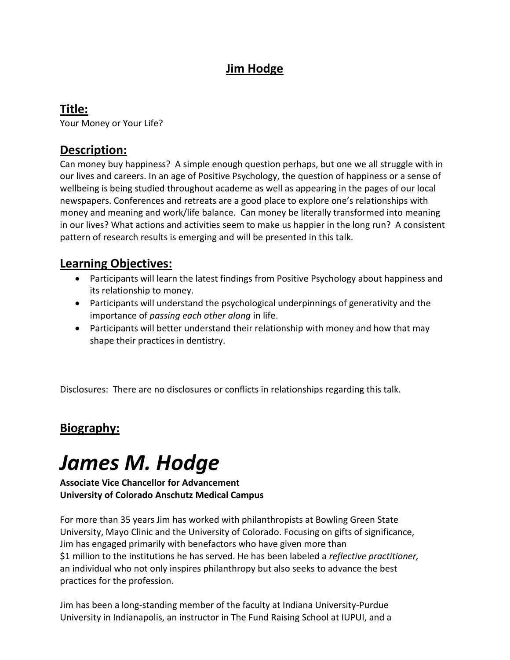# **Jim Hodge**

### **Title:**

Your Money or Your Life?

#### **Description:**

Can money buy happiness? A simple enough question perhaps, but one we all struggle with in our lives and careers. In an age of Positive Psychology, the question of happiness or a sense of wellbeing is being studied throughout academe as well as appearing in the pages of our local newspapers. Conferences and retreats are a good place to explore one's relationships with money and meaning and work/life balance. Can money be literally transformed into meaning in our lives? What actions and activities seem to make us happier in the long run? A consistent pattern of research results is emerging and will be presented in this talk.

#### **Learning Objectives:**

- Participants will learn the latest findings from Positive Psychology about happiness and its relationship to money.
- Participants will understand the psychological underpinnings of generativity and the importance of *passing each other along* in life.
- Participants will better understand their relationship with money and how that may shape their practices in dentistry.

Disclosures: There are no disclosures or conflicts in relationships regarding this talk.

## **Biography:**

# *James M. Hodge*

#### **Associate Vice Chancellor for Advancement University of Colorado Anschutz Medical Campus**

For more than 35 years Jim has worked with philanthropists at Bowling Green State University, Mayo Clinic and the University of Colorado. Focusing on gifts of significance, Jim has engaged primarily with benefactors who have given more than \$1 million to the institutions he has served. He has been labeled a *reflective practitioner,*  an individual who not only inspires philanthropy but also seeks to advance the best practices for the profession.

Jim has been a long-standing member of the faculty at Indiana University-Purdue University in Indianapolis, an instructor in The Fund Raising School at IUPUI, and a